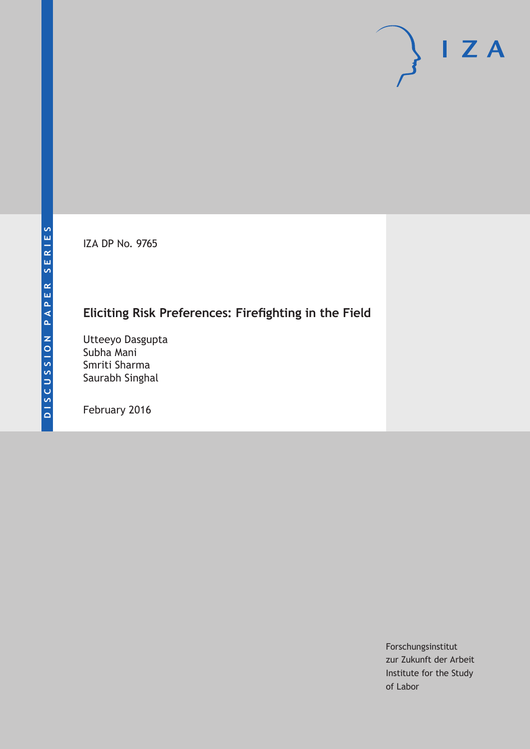IZA DP No. 9765

# **Eliciting Risk Preferences: Firefighting in the Field**

Utteeyo Dasgupta Subha Mani Smriti Sharma Saurabh Singhal

February 2016

Forschungsinstitut zur Zukunft der Arbeit Institute for the Study of Labor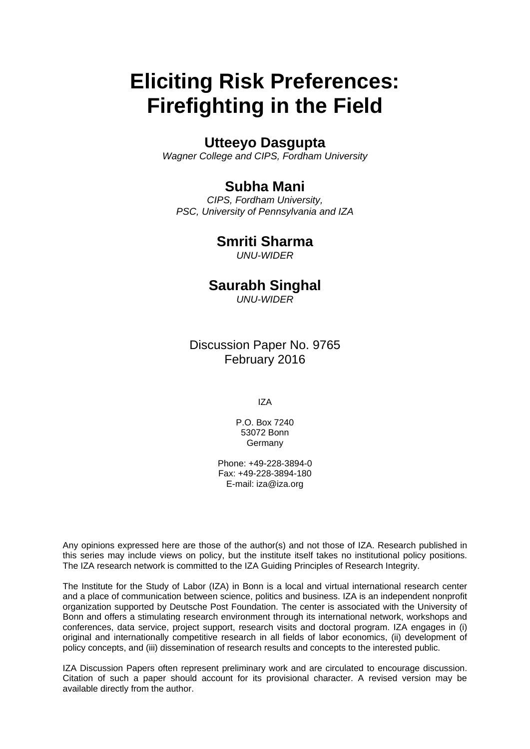# **Eliciting Risk Preferences: Firefighting in the Field**

# **Utteeyo Dasgupta**

*Wagner College and CIPS, Fordham University* 

# **Subha Mani**

*CIPS, Fordham University, PSC, University of Pennsylvania and IZA* 

# **Smriti Sharma**

*UNU-WIDER*

# **Saurabh Singhal**

*UNU-WIDER*

Discussion Paper No. 9765 February 2016

IZA

P.O. Box 7240 53072 Bonn **Germany** 

Phone: +49-228-3894-0 Fax: +49-228-3894-180 E-mail: iza@iza.org

Any opinions expressed here are those of the author(s) and not those of IZA. Research published in this series may include views on policy, but the institute itself takes no institutional policy positions. The IZA research network is committed to the IZA Guiding Principles of Research Integrity.

The Institute for the Study of Labor (IZA) in Bonn is a local and virtual international research center and a place of communication between science, politics and business. IZA is an independent nonprofit organization supported by Deutsche Post Foundation. The center is associated with the University of Bonn and offers a stimulating research environment through its international network, workshops and conferences, data service, project support, research visits and doctoral program. IZA engages in (i) original and internationally competitive research in all fields of labor economics, (ii) development of policy concepts, and (iii) dissemination of research results and concepts to the interested public.

IZA Discussion Papers often represent preliminary work and are circulated to encourage discussion. Citation of such a paper should account for its provisional character. A revised version may be available directly from the author.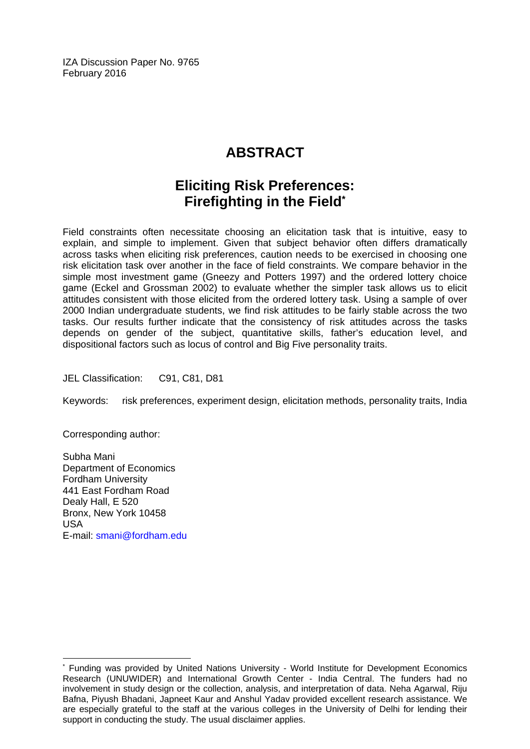IZA Discussion Paper No. 9765 February 2016

# **ABSTRACT**

# **Eliciting Risk Preferences: Firefighting in the Field\***

Field constraints often necessitate choosing an elicitation task that is intuitive, easy to explain, and simple to implement. Given that subject behavior often differs dramatically across tasks when eliciting risk preferences, caution needs to be exercised in choosing one risk elicitation task over another in the face of field constraints. We compare behavior in the simple most investment game (Gneezy and Potters 1997) and the ordered lottery choice game (Eckel and Grossman 2002) to evaluate whether the simpler task allows us to elicit attitudes consistent with those elicited from the ordered lottery task. Using a sample of over 2000 Indian undergraduate students, we find risk attitudes to be fairly stable across the two tasks. Our results further indicate that the consistency of risk attitudes across the tasks depends on gender of the subject, quantitative skills, father's education level, and dispositional factors such as locus of control and Big Five personality traits.

JEL Classification: C91, C81, D81

Keywords: risk preferences, experiment design, elicitation methods, personality traits, India

Corresponding author:

 $\overline{\phantom{a}}$ 

Subha Mani Department of Economics Fordham University 441 East Fordham Road Dealy Hall, E 520 Bronx, New York 10458 USA E-mail: smani@fordham.edu

<sup>\*</sup> Funding was provided by United Nations University - World Institute for Development Economics Research (UNUWIDER) and International Growth Center - India Central. The funders had no involvement in study design or the collection, analysis, and interpretation of data. Neha Agarwal, Riju Bafna, Piyush Bhadani, Japneet Kaur and Anshul Yadav provided excellent research assistance. We are especially grateful to the staff at the various colleges in the University of Delhi for lending their support in conducting the study. The usual disclaimer applies.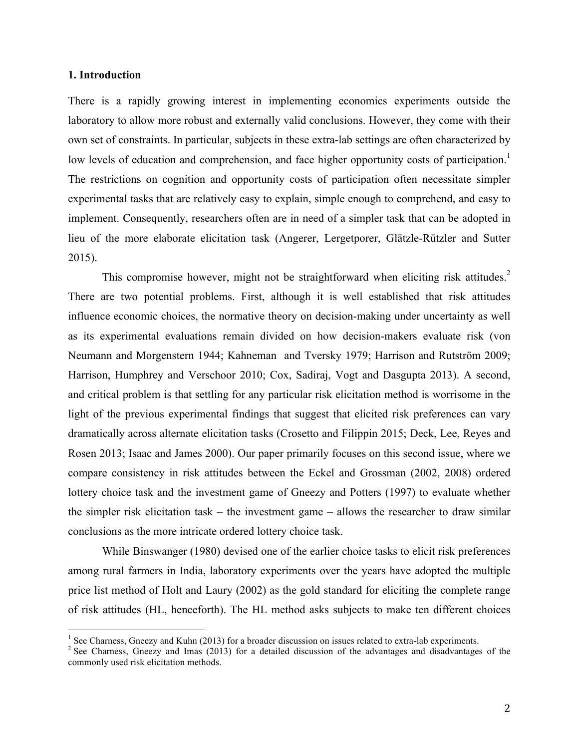#### **1. Introduction**

There is a rapidly growing interest in implementing economics experiments outside the laboratory to allow more robust and externally valid conclusions. However, they come with their own set of constraints. In particular, subjects in these extra-lab settings are often characterized by low levels of education and comprehension, and face higher opportunity costs of participation.<sup>1</sup> The restrictions on cognition and opportunity costs of participation often necessitate simpler experimental tasks that are relatively easy to explain, simple enough to comprehend, and easy to implement. Consequently, researchers often are in need of a simpler task that can be adopted in lieu of the more elaborate elicitation task (Angerer, Lergetporer, Glätzle-Rützler and Sutter 2015).

This compromise however, might not be straightforward when eliciting risk attitudes.<sup>2</sup> There are two potential problems. First, although it is well established that risk attitudes influence economic choices, the normative theory on decision-making under uncertainty as well as its experimental evaluations remain divided on how decision-makers evaluate risk (von Neumann and Morgenstern 1944; Kahneman and Tversky 1979; Harrison and Rutström 2009; Harrison, Humphrey and Verschoor 2010; Cox, Sadiraj, Vogt and Dasgupta 2013). A second, and critical problem is that settling for any particular risk elicitation method is worrisome in the light of the previous experimental findings that suggest that elicited risk preferences can vary dramatically across alternate elicitation tasks (Crosetto and Filippin 2015; Deck, Lee, Reyes and Rosen 2013; Isaac and James 2000). Our paper primarily focuses on this second issue, where we compare consistency in risk attitudes between the Eckel and Grossman (2002, 2008) ordered lottery choice task and the investment game of Gneezy and Potters (1997) to evaluate whether the simpler risk elicitation task – the investment game – allows the researcher to draw similar conclusions as the more intricate ordered lottery choice task.

While Binswanger (1980) devised one of the earlier choice tasks to elicit risk preferences among rural farmers in India, laboratory experiments over the years have adopted the multiple price list method of Holt and Laury (2002) as the gold standard for eliciting the complete range of risk attitudes (HL, henceforth). The HL method asks subjects to make ten different choices

<sup>&</sup>lt;sup>1</sup> See Charness, Gneezy and Kuhn (2013) for a broader discussion on issues related to extra-lab experiments. <sup>2</sup> See Charness, Gneezy and Imas (2013) for a detailed discussion of the advantages and disadvantages of the

commonly used risk elicitation methods.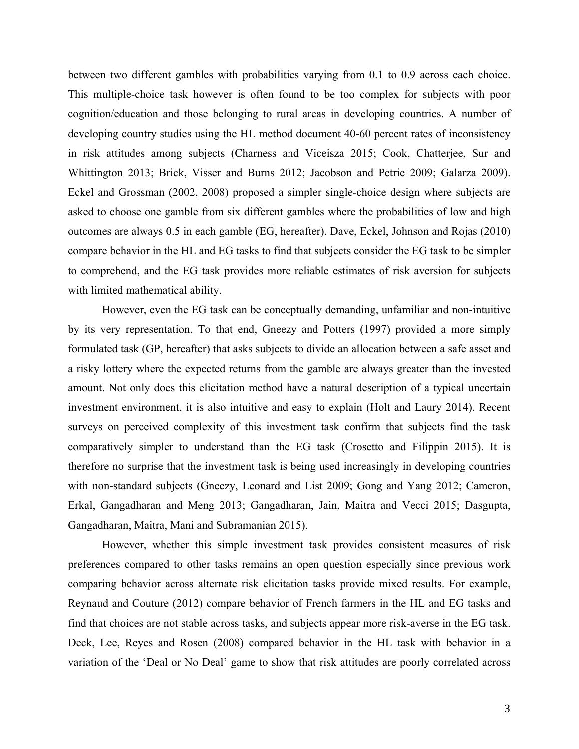between two different gambles with probabilities varying from 0.1 to 0.9 across each choice. This multiple-choice task however is often found to be too complex for subjects with poor cognition/education and those belonging to rural areas in developing countries. A number of developing country studies using the HL method document 40-60 percent rates of inconsistency in risk attitudes among subjects (Charness and Viceisza 2015; Cook, Chatterjee, Sur and Whittington 2013; Brick, Visser and Burns 2012; Jacobson and Petrie 2009; Galarza 2009). Eckel and Grossman (2002, 2008) proposed a simpler single-choice design where subjects are asked to choose one gamble from six different gambles where the probabilities of low and high outcomes are always 0.5 in each gamble (EG, hereafter). Dave, Eckel, Johnson and Rojas (2010) compare behavior in the HL and EG tasks to find that subjects consider the EG task to be simpler to comprehend, and the EG task provides more reliable estimates of risk aversion for subjects with limited mathematical ability.

However, even the EG task can be conceptually demanding, unfamiliar and non-intuitive by its very representation. To that end, Gneezy and Potters (1997) provided a more simply formulated task (GP, hereafter) that asks subjects to divide an allocation between a safe asset and a risky lottery where the expected returns from the gamble are always greater than the invested amount. Not only does this elicitation method have a natural description of a typical uncertain investment environment, it is also intuitive and easy to explain (Holt and Laury 2014). Recent surveys on perceived complexity of this investment task confirm that subjects find the task comparatively simpler to understand than the EG task (Crosetto and Filippin 2015). It is therefore no surprise that the investment task is being used increasingly in developing countries with non-standard subjects (Gneezy, Leonard and List 2009; Gong and Yang 2012; Cameron, Erkal, Gangadharan and Meng 2013; Gangadharan, Jain, Maitra and Vecci 2015; Dasgupta, Gangadharan, Maitra, Mani and Subramanian 2015).

However, whether this simple investment task provides consistent measures of risk preferences compared to other tasks remains an open question especially since previous work comparing behavior across alternate risk elicitation tasks provide mixed results. For example, Reynaud and Couture (2012) compare behavior of French farmers in the HL and EG tasks and find that choices are not stable across tasks, and subjects appear more risk-averse in the EG task. Deck, Lee, Reyes and Rosen (2008) compared behavior in the HL task with behavior in a variation of the 'Deal or No Deal' game to show that risk attitudes are poorly correlated across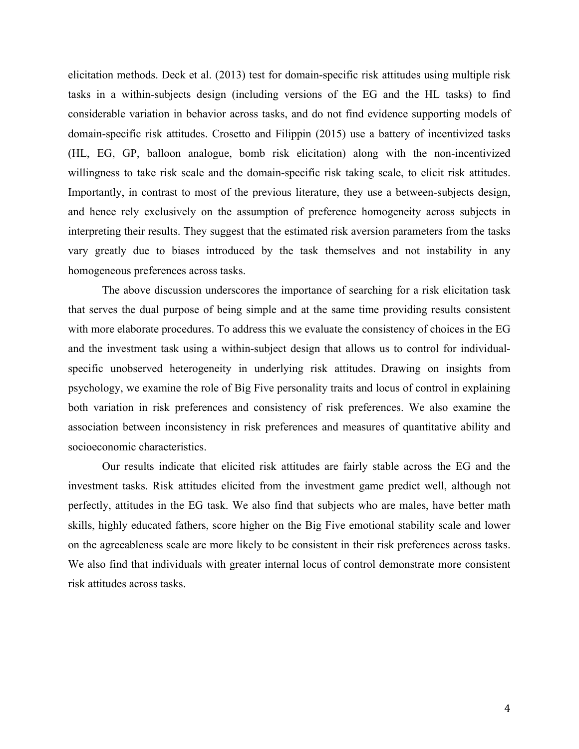elicitation methods. Deck et al. (2013) test for domain-specific risk attitudes using multiple risk tasks in a within-subjects design (including versions of the EG and the HL tasks) to find considerable variation in behavior across tasks, and do not find evidence supporting models of domain-specific risk attitudes. Crosetto and Filippin (2015) use a battery of incentivized tasks (HL, EG, GP, balloon analogue, bomb risk elicitation) along with the non-incentivized willingness to take risk scale and the domain-specific risk taking scale, to elicit risk attitudes. Importantly, in contrast to most of the previous literature, they use a between-subjects design, and hence rely exclusively on the assumption of preference homogeneity across subjects in interpreting their results. They suggest that the estimated risk aversion parameters from the tasks vary greatly due to biases introduced by the task themselves and not instability in any homogeneous preferences across tasks.

The above discussion underscores the importance of searching for a risk elicitation task that serves the dual purpose of being simple and at the same time providing results consistent with more elaborate procedures. To address this we evaluate the consistency of choices in the EG and the investment task using a within-subject design that allows us to control for individualspecific unobserved heterogeneity in underlying risk attitudes. Drawing on insights from psychology, we examine the role of Big Five personality traits and locus of control in explaining both variation in risk preferences and consistency of risk preferences. We also examine the association between inconsistency in risk preferences and measures of quantitative ability and socioeconomic characteristics.

Our results indicate that elicited risk attitudes are fairly stable across the EG and the investment tasks. Risk attitudes elicited from the investment game predict well, although not perfectly, attitudes in the EG task. We also find that subjects who are males, have better math skills, highly educated fathers, score higher on the Big Five emotional stability scale and lower on the agreeableness scale are more likely to be consistent in their risk preferences across tasks. We also find that individuals with greater internal locus of control demonstrate more consistent risk attitudes across tasks.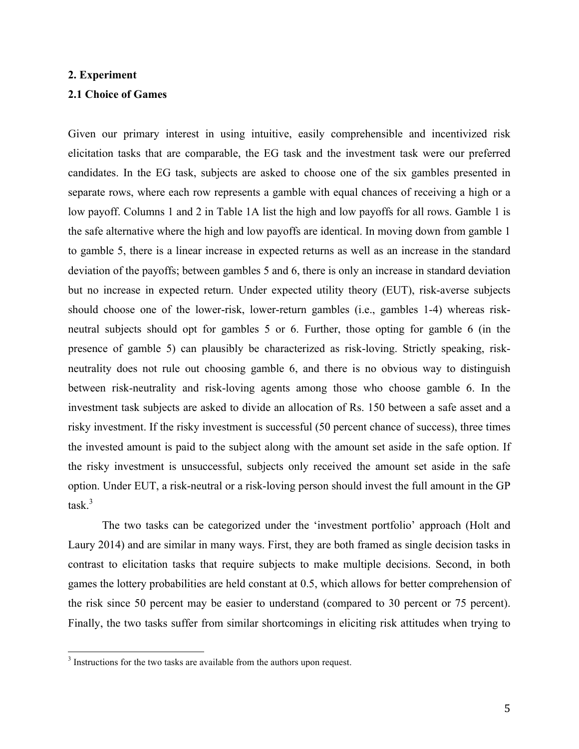#### **2. Experiment**

#### **2.1 Choice of Games**

Given our primary interest in using intuitive, easily comprehensible and incentivized risk elicitation tasks that are comparable, the EG task and the investment task were our preferred candidates. In the EG task, subjects are asked to choose one of the six gambles presented in separate rows, where each row represents a gamble with equal chances of receiving a high or a low payoff. Columns 1 and 2 in Table 1A list the high and low payoffs for all rows. Gamble 1 is the safe alternative where the high and low payoffs are identical. In moving down from gamble 1 to gamble 5, there is a linear increase in expected returns as well as an increase in the standard deviation of the payoffs; between gambles 5 and 6, there is only an increase in standard deviation but no increase in expected return. Under expected utility theory (EUT), risk-averse subjects should choose one of the lower-risk, lower-return gambles (i.e., gambles 1-4) whereas riskneutral subjects should opt for gambles 5 or 6. Further, those opting for gamble 6 (in the presence of gamble 5) can plausibly be characterized as risk-loving. Strictly speaking, riskneutrality does not rule out choosing gamble 6, and there is no obvious way to distinguish between risk-neutrality and risk-loving agents among those who choose gamble 6. In the investment task subjects are asked to divide an allocation of Rs. 150 between a safe asset and a risky investment. If the risky investment is successful (50 percent chance of success), three times the invested amount is paid to the subject along with the amount set aside in the safe option. If the risky investment is unsuccessful, subjects only received the amount set aside in the safe option. Under EUT, a risk-neutral or a risk-loving person should invest the full amount in the GP task. 3

The two tasks can be categorized under the 'investment portfolio' approach (Holt and Laury 2014) and are similar in many ways. First, they are both framed as single decision tasks in contrast to elicitation tasks that require subjects to make multiple decisions. Second, in both games the lottery probabilities are held constant at 0.5, which allows for better comprehension of the risk since 50 percent may be easier to understand (compared to 30 percent or 75 percent). Finally, the two tasks suffer from similar shortcomings in eliciting risk attitudes when trying to

<sup>&</sup>lt;sup>3</sup> Instructions for the two tasks are available from the authors upon request.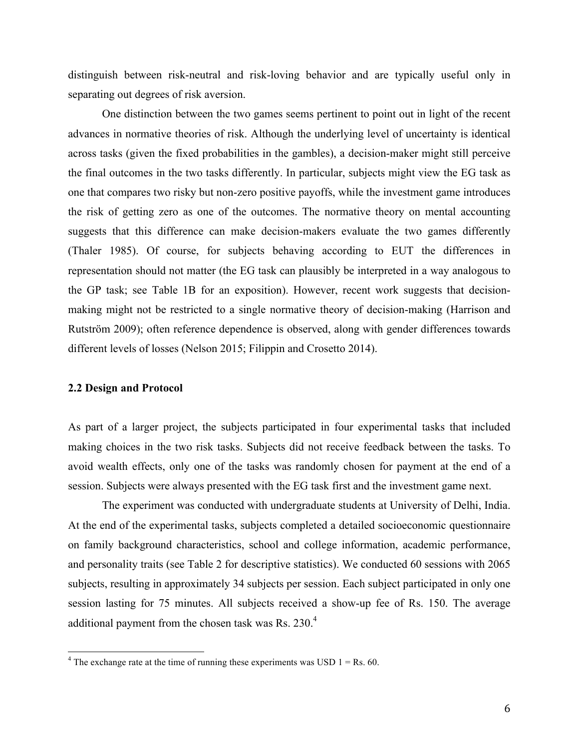distinguish between risk-neutral and risk-loving behavior and are typically useful only in separating out degrees of risk aversion.

One distinction between the two games seems pertinent to point out in light of the recent advances in normative theories of risk. Although the underlying level of uncertainty is identical across tasks (given the fixed probabilities in the gambles), a decision-maker might still perceive the final outcomes in the two tasks differently. In particular, subjects might view the EG task as one that compares two risky but non-zero positive payoffs, while the investment game introduces the risk of getting zero as one of the outcomes. The normative theory on mental accounting suggests that this difference can make decision-makers evaluate the two games differently (Thaler 1985). Of course, for subjects behaving according to EUT the differences in representation should not matter (the EG task can plausibly be interpreted in a way analogous to the GP task; see Table 1B for an exposition). However, recent work suggests that decisionmaking might not be restricted to a single normative theory of decision-making (Harrison and Rutström 2009); often reference dependence is observed, along with gender differences towards different levels of losses (Nelson 2015; Filippin and Crosetto 2014).

#### **2.2 Design and Protocol**

As part of a larger project, the subjects participated in four experimental tasks that included making choices in the two risk tasks. Subjects did not receive feedback between the tasks. To avoid wealth effects, only one of the tasks was randomly chosen for payment at the end of a session. Subjects were always presented with the EG task first and the investment game next.

The experiment was conducted with undergraduate students at University of Delhi, India. At the end of the experimental tasks, subjects completed a detailed socioeconomic questionnaire on family background characteristics, school and college information, academic performance, and personality traits (see Table 2 for descriptive statistics). We conducted 60 sessions with 2065 subjects, resulting in approximately 34 subjects per session. Each subject participated in only one session lasting for 75 minutes. All subjects received a show-up fee of Rs. 150. The average additional payment from the chosen task was Rs. 230.<sup>4</sup>

<sup>&</sup>lt;sup>4</sup> The exchange rate at the time of running these experiments was USD  $1 = \text{Rs. } 60$ .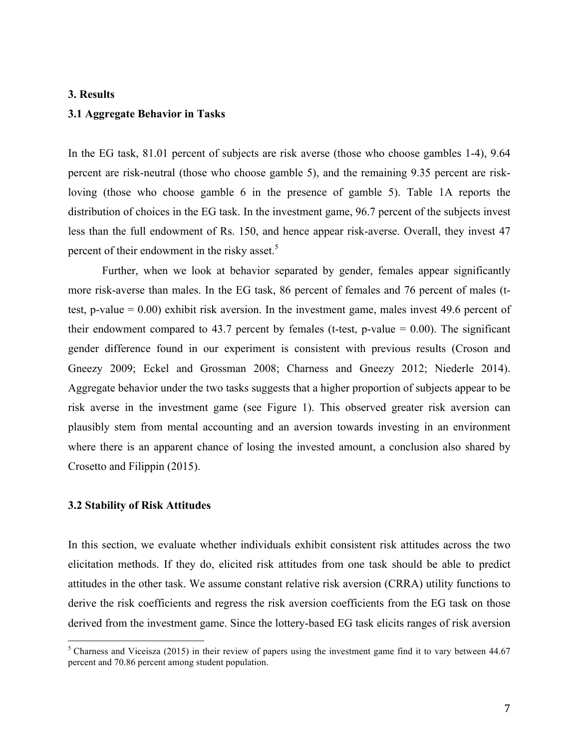#### **3. Results**

#### **3.1 Aggregate Behavior in Tasks**

In the EG task, 81.01 percent of subjects are risk averse (those who choose gambles 1-4), 9.64 percent are risk-neutral (those who choose gamble 5), and the remaining 9.35 percent are riskloving (those who choose gamble 6 in the presence of gamble 5). Table 1A reports the distribution of choices in the EG task. In the investment game, 96.7 percent of the subjects invest less than the full endowment of Rs. 150, and hence appear risk-averse. Overall, they invest 47 percent of their endowment in the risky asset.<sup>5</sup>

Further, when we look at behavior separated by gender, females appear significantly more risk-averse than males. In the EG task, 86 percent of females and 76 percent of males (ttest, p-value  $= 0.00$ ) exhibit risk aversion. In the investment game, males invest 49.6 percent of their endowment compared to 43.7 percent by females (t-test, p-value  $= 0.00$ ). The significant gender difference found in our experiment is consistent with previous results (Croson and Gneezy 2009; Eckel and Grossman 2008; Charness and Gneezy 2012; Niederle 2014). Aggregate behavior under the two tasks suggests that a higher proportion of subjects appear to be risk averse in the investment game (see Figure 1). This observed greater risk aversion can plausibly stem from mental accounting and an aversion towards investing in an environment where there is an apparent chance of losing the invested amount, a conclusion also shared by Crosetto and Filippin (2015).

#### **3.2 Stability of Risk Attitudes**

In this section, we evaluate whether individuals exhibit consistent risk attitudes across the two elicitation methods. If they do, elicited risk attitudes from one task should be able to predict attitudes in the other task. We assume constant relative risk aversion (CRRA) utility functions to derive the risk coefficients and regress the risk aversion coefficients from the EG task on those derived from the investment game. Since the lottery-based EG task elicits ranges of risk aversion

<sup>&</sup>lt;sup>5</sup> Charness and Viceisza (2015) in their review of papers using the investment game find it to vary between 44.67 percent and 70.86 percent among student population.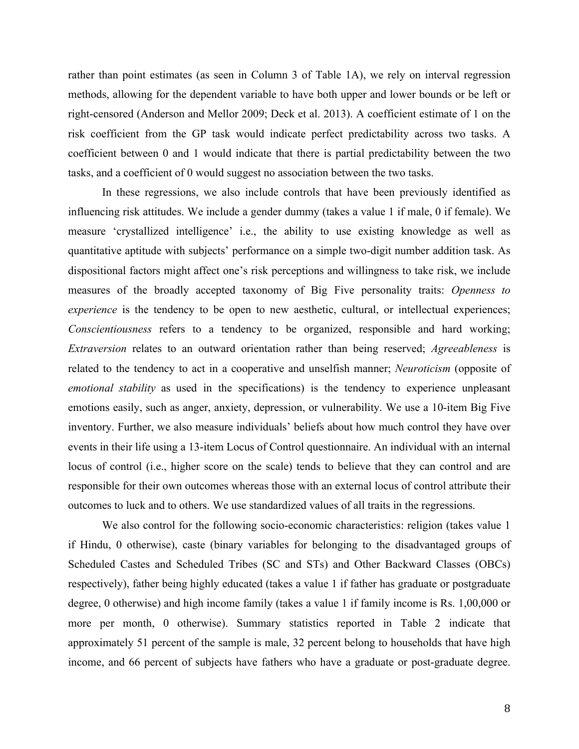rather than point estimates (as seen in Column 3 of Table 1A), we rely on interval regression methods, allowing for the dependent variable to have both upper and lower bounds or be left or right-censored (Anderson and Mellor 2009; Deck et al. 2013). A coefficient estimate of 1 on the risk coefficient from the GP task would indicate perfect predictability across two tasks. A coefficient between 0 and 1 would indicate that there is partial predictability between the two tasks, and a coefficient of 0 would suggest no association between the two tasks.

In these regressions, we also include controls that have been previously identified as influencing risk attitudes. We include a gender dummy (takes a value 1 if male, 0 if female). We measure 'crystallized intelligence' i.e., the ability to use existing knowledge as well as quantitative aptitude with subjects' performance on a simple two-digit number addition task. As dispositional factors might affect one's risk perceptions and willingness to take risk, we include measures of the broadly accepted taxonomy of Big Five personality traits: *Openness to experience* is the tendency to be open to new aesthetic, cultural, or intellectual experiences; *Conscientiousness* refers to a tendency to be organized, responsible and hard working; *Extraversion* relates to an outward orientation rather than being reserved; *Agreeableness* is related to the tendency to act in a cooperative and unselfish manner; *Neuroticism* (opposite of *emotional stability* as used in the specifications) is the tendency to experience unpleasant emotions easily, such as anger, anxiety, depression, or vulnerability. We use a 10-item Big Five inventory. Further, we also measure individuals' beliefs about how much control they have over events in their life using a 13-item Locus of Control questionnaire. An individual with an internal locus of control (i.e., higher score on the scale) tends to believe that they can control and are responsible for their own outcomes whereas those with an external locus of control attribute their outcomes to luck and to others. We use standardized values of all traits in the regressions.

We also control for the following socio-economic characteristics: religion (takes value 1 if Hindu, 0 otherwise), caste (binary variables for belonging to the disadvantaged groups of Scheduled Castes and Scheduled Tribes (SC and STs) and Other Backward Classes (OBCs) respectively), father being highly educated (takes a value 1 if father has graduate or postgraduate degree, 0 otherwise) and high income family (takes a value 1 if family income is Rs. 1,00,000 or more per month, 0 otherwise). Summary statistics reported in Table 2 indicate that approximately 51 percent of the sample is male, 32 percent belong to households that have high income, and 66 percent of subjects have fathers who have a graduate or post-graduate degree.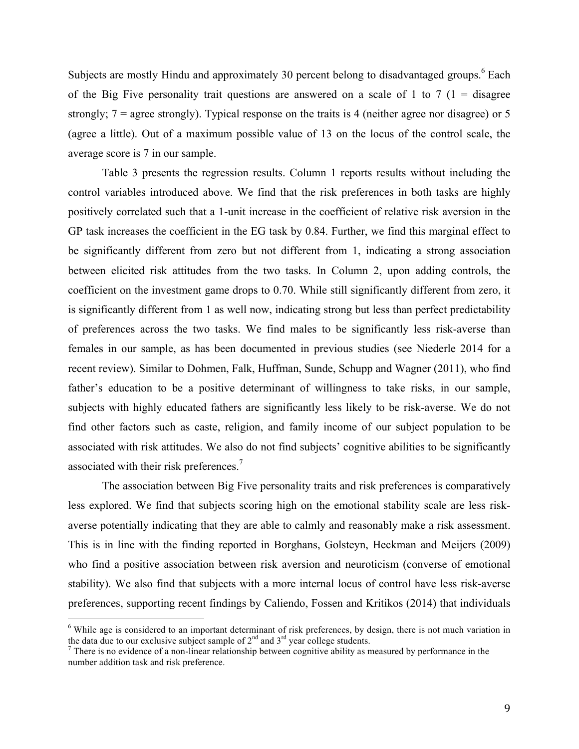Subjects are mostly Hindu and approximately 30 percent belong to disadvantaged groups.<sup>6</sup> Each of the Big Five personality trait questions are answered on a scale of 1 to 7  $(1 - \text{disagree})$ strongly;  $7 =$  agree strongly). Typical response on the traits is 4 (neither agree nor disagree) or 5 (agree a little). Out of a maximum possible value of 13 on the locus of the control scale, the average score is 7 in our sample.

Table 3 presents the regression results. Column 1 reports results without including the control variables introduced above. We find that the risk preferences in both tasks are highly positively correlated such that a 1-unit increase in the coefficient of relative risk aversion in the GP task increases the coefficient in the EG task by 0.84. Further, we find this marginal effect to be significantly different from zero but not different from 1, indicating a strong association between elicited risk attitudes from the two tasks. In Column 2, upon adding controls, the coefficient on the investment game drops to 0.70. While still significantly different from zero, it is significantly different from 1 as well now, indicating strong but less than perfect predictability of preferences across the two tasks. We find males to be significantly less risk-averse than females in our sample, as has been documented in previous studies (see Niederle 2014 for a recent review). Similar to Dohmen, Falk, Huffman, Sunde, Schupp and Wagner (2011), who find father's education to be a positive determinant of willingness to take risks, in our sample, subjects with highly educated fathers are significantly less likely to be risk-averse. We do not find other factors such as caste, religion, and family income of our subject population to be associated with risk attitudes. We also do not find subjects' cognitive abilities to be significantly associated with their risk preferences.<sup>7</sup>

The association between Big Five personality traits and risk preferences is comparatively less explored. We find that subjects scoring high on the emotional stability scale are less riskaverse potentially indicating that they are able to calmly and reasonably make a risk assessment. This is in line with the finding reported in Borghans, Golsteyn, Heckman and Meijers (2009) who find a positive association between risk aversion and neuroticism (converse of emotional stability). We also find that subjects with a more internal locus of control have less risk-averse preferences, supporting recent findings by Caliendo, Fossen and Kritikos (2014) that individuals

<sup>&</sup>lt;sup>6</sup> While age is considered to an important determinant of risk preferences, by design, there is not much variation in the data due to our exclusive subject sample of  $2<sup>nd</sup>$  and  $3<sup>rd</sup>$  year college students.

 $\frac{7}{7}$  There is no evidence of a non-linear relationship between cognitive ability as measured by performance in the number addition task and risk preference.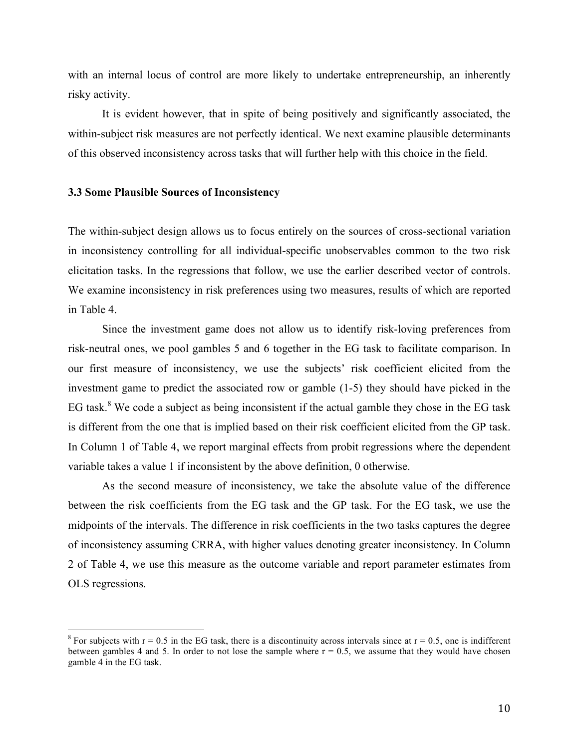with an internal locus of control are more likely to undertake entrepreneurship, an inherently risky activity.

It is evident however, that in spite of being positively and significantly associated, the within-subject risk measures are not perfectly identical. We next examine plausible determinants of this observed inconsistency across tasks that will further help with this choice in the field.

#### **3.3 Some Plausible Sources of Inconsistency**

The within-subject design allows us to focus entirely on the sources of cross-sectional variation in inconsistency controlling for all individual-specific unobservables common to the two risk elicitation tasks. In the regressions that follow, we use the earlier described vector of controls. We examine inconsistency in risk preferences using two measures, results of which are reported in Table 4.

Since the investment game does not allow us to identify risk-loving preferences from risk-neutral ones, we pool gambles 5 and 6 together in the EG task to facilitate comparison. In our first measure of inconsistency, we use the subjects' risk coefficient elicited from the investment game to predict the associated row or gamble (1-5) they should have picked in the EG task.<sup>8</sup> We code a subject as being inconsistent if the actual gamble they chose in the EG task is different from the one that is implied based on their risk coefficient elicited from the GP task. In Column 1 of Table 4, we report marginal effects from probit regressions where the dependent variable takes a value 1 if inconsistent by the above definition, 0 otherwise.

As the second measure of inconsistency, we take the absolute value of the difference between the risk coefficients from the EG task and the GP task. For the EG task, we use the midpoints of the intervals. The difference in risk coefficients in the two tasks captures the degree of inconsistency assuming CRRA, with higher values denoting greater inconsistency. In Column 2 of Table 4, we use this measure as the outcome variable and report parameter estimates from OLS regressions.

<sup>&</sup>lt;sup>8</sup> For subjects with  $r = 0.5$  in the EG task, there is a discontinuity across intervals since at  $r = 0.5$ , one is indifferent between gambles 4 and 5. In order to not lose the sample where  $r = 0.5$ , we assume that they would have chosen gamble 4 in the EG task.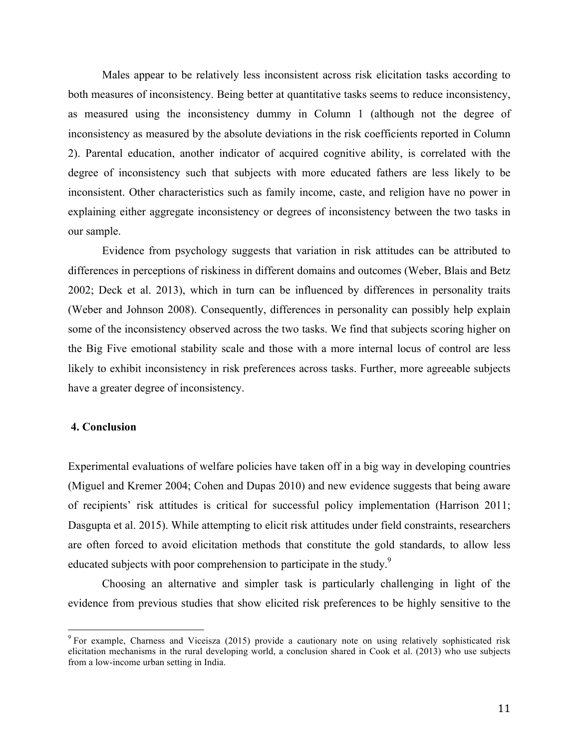Males appear to be relatively less inconsistent across risk elicitation tasks according to both measures of inconsistency. Being better at quantitative tasks seems to reduce inconsistency, as measured using the inconsistency dummy in Column 1 (although not the degree of inconsistency as measured by the absolute deviations in the risk coefficients reported in Column 2). Parental education, another indicator of acquired cognitive ability, is correlated with the degree of inconsistency such that subjects with more educated fathers are less likely to be inconsistent. Other characteristics such as family income, caste, and religion have no power in explaining either aggregate inconsistency or degrees of inconsistency between the two tasks in our sample.

Evidence from psychology suggests that variation in risk attitudes can be attributed to differences in perceptions of riskiness in different domains and outcomes (Weber, Blais and Betz 2002; Deck et al. 2013), which in turn can be influenced by differences in personality traits (Weber and Johnson 2008). Consequently, differences in personality can possibly help explain some of the inconsistency observed across the two tasks. We find that subjects scoring higher on the Big Five emotional stability scale and those with a more internal locus of control are less likely to exhibit inconsistency in risk preferences across tasks. Further, more agreeable subjects have a greater degree of inconsistency.

#### **4. Conclusion**

Experimental evaluations of welfare policies have taken off in a big way in developing countries (Miguel and Kremer 2004; Cohen and Dupas 2010) and new evidence suggests that being aware of recipients' risk attitudes is critical for successful policy implementation (Harrison 2011; Dasgupta et al. 2015). While attempting to elicit risk attitudes under field constraints, researchers are often forced to avoid elicitation methods that constitute the gold standards, to allow less educated subjects with poor comprehension to participate in the study.<sup>9</sup>

Choosing an alternative and simpler task is particularly challenging in light of the evidence from previous studies that show elicited risk preferences to be highly sensitive to the

<sup>&</sup>lt;sup>9</sup> For example, Charness and Viceisza (2015) provide a cautionary note on using relatively sophisticated risk elicitation mechanisms in the rural developing world, a conclusion shared in Cook et al. (2013) who use subjects from a low-income urban setting in India.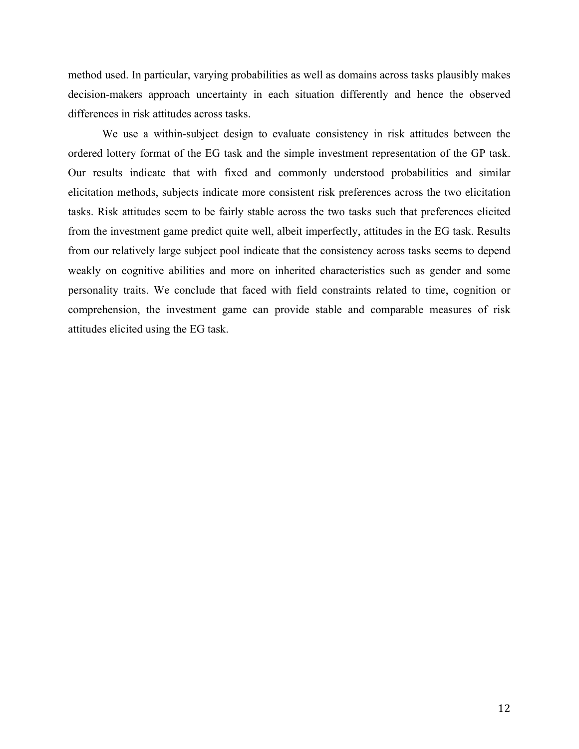method used. In particular, varying probabilities as well as domains across tasks plausibly makes decision-makers approach uncertainty in each situation differently and hence the observed differences in risk attitudes across tasks.

We use a within-subject design to evaluate consistency in risk attitudes between the ordered lottery format of the EG task and the simple investment representation of the GP task. Our results indicate that with fixed and commonly understood probabilities and similar elicitation methods, subjects indicate more consistent risk preferences across the two elicitation tasks. Risk attitudes seem to be fairly stable across the two tasks such that preferences elicited from the investment game predict quite well, albeit imperfectly, attitudes in the EG task. Results from our relatively large subject pool indicate that the consistency across tasks seems to depend weakly on cognitive abilities and more on inherited characteristics such as gender and some personality traits. We conclude that faced with field constraints related to time, cognition or comprehension, the investment game can provide stable and comparable measures of risk attitudes elicited using the EG task.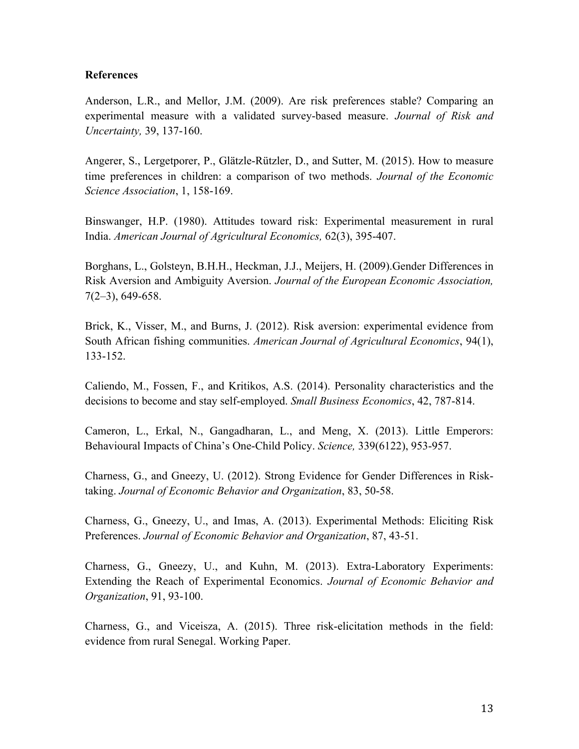#### **References**

Anderson, L.R., and Mellor, J.M. (2009). Are risk preferences stable? Comparing an experimental measure with a validated survey-based measure. *Journal of Risk and Uncertainty,* 39, 137-160.

Angerer, S., Lergetporer, P., Glätzle-Rützler, D., and Sutter, M. (2015). How to measure time preferences in children: a comparison of two methods. *Journal of the Economic Science Association*, 1, 158-169.

Binswanger, H.P. (1980). Attitudes toward risk: Experimental measurement in rural India. *American Journal of Agricultural Economics,* 62(3), 395-407.

Borghans, L., Golsteyn, B.H.H., Heckman, J.J., Meijers, H. (2009).Gender Differences in Risk Aversion and Ambiguity Aversion. *Journal of the European Economic Association,*  7(2–3), 649-658.

Brick, K., Visser, M., and Burns, J. (2012). Risk aversion: experimental evidence from South African fishing communities. *American Journal of Agricultural Economics*, 94(1), 133-152.

Caliendo, M., Fossen, F., and Kritikos, A.S. (2014). Personality characteristics and the decisions to become and stay self-employed. *Small Business Economics*, 42, 787-814.

Cameron, L., Erkal, N., Gangadharan, L., and Meng, X. (2013). Little Emperors: Behavioural Impacts of China's One-Child Policy. *Science,* 339(6122), 953-957.

Charness, G., and Gneezy, U. (2012). Strong Evidence for Gender Differences in Risktaking. *Journal of Economic Behavior and Organization*, 83, 50-58.

Charness, G., Gneezy, U., and Imas, A. (2013). Experimental Methods: Eliciting Risk Preferences. *Journal of Economic Behavior and Organization*, 87, 43-51.

Charness, G., Gneezy, U., and Kuhn, M. (2013). Extra-Laboratory Experiments: Extending the Reach of Experimental Economics. *Journal of Economic Behavior and Organization*, 91, 93-100.

Charness, G., and Viceisza, A. (2015). Three risk-elicitation methods in the field: evidence from rural Senegal. Working Paper.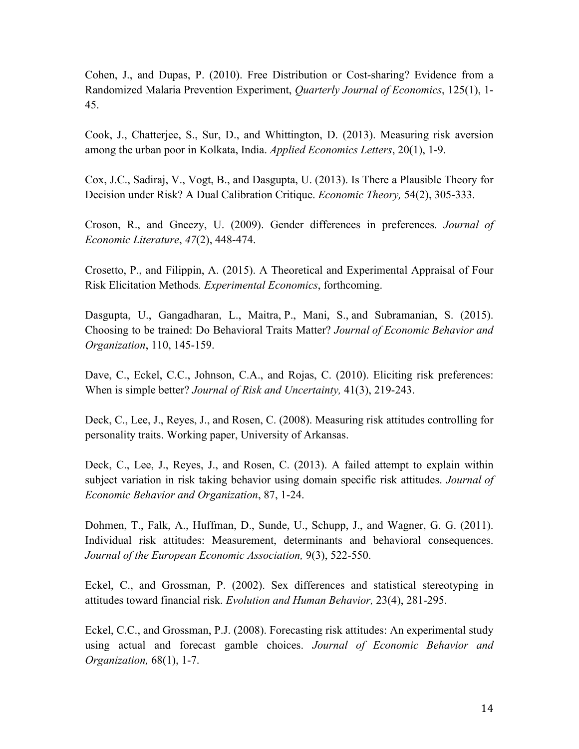Cohen, J., and Dupas, P. (2010). Free Distribution or Cost-sharing? Evidence from a Randomized Malaria Prevention Experiment, *Quarterly Journal of Economics*, 125(1), 1- 45.

Cook, J., Chatterjee, S., Sur, D., and Whittington, D. (2013). Measuring risk aversion among the urban poor in Kolkata, India. *Applied Economics Letters*, 20(1), 1-9.

Cox, J.C., Sadiraj, V., Vogt, B., and Dasgupta, U. (2013). Is There a Plausible Theory for Decision under Risk? A Dual Calibration Critique. *Economic Theory,* 54(2), 305-333.

Croson, R., and Gneezy, U. (2009). Gender differences in preferences. *Journal of Economic Literature*, *47*(2), 448-474.

Crosetto, P., and Filippin, A. (2015). A Theoretical and Experimental Appraisal of Four Risk Elicitation Methods*. Experimental Economics*, forthcoming.

Dasgupta, U., Gangadharan, L., Maitra, P., Mani, S., and Subramanian, S. (2015). Choosing to be trained: Do Behavioral Traits Matter? *Journal of Economic Behavior and Organization*, 110, 145-159.

Dave, C., Eckel, C.C., Johnson, C.A., and Rojas, C. (2010). Eliciting risk preferences: When is simple better? *Journal of Risk and Uncertainty,* 41(3), 219-243.

Deck, C., Lee, J., Reyes, J., and Rosen, C. (2008). Measuring risk attitudes controlling for personality traits. Working paper, University of Arkansas.

Deck, C., Lee, J., Reyes, J., and Rosen, C. (2013). A failed attempt to explain within subject variation in risk taking behavior using domain specific risk attitudes. *Journal of Economic Behavior and Organization*, 87, 1-24.

Dohmen, T., Falk, A., Huffman, D., Sunde, U., Schupp, J., and Wagner, G. G. (2011). Individual risk attitudes: Measurement, determinants and behavioral consequences. *Journal of the European Economic Association,* 9(3), 522-550.

Eckel, C., and Grossman, P. (2002). Sex differences and statistical stereotyping in attitudes toward financial risk. *Evolution and Human Behavior,* 23(4), 281-295.

Eckel, C.C., and Grossman, P.J. (2008). Forecasting risk attitudes: An experimental study using actual and forecast gamble choices. *Journal of Economic Behavior and Organization,* 68(1), 1-7.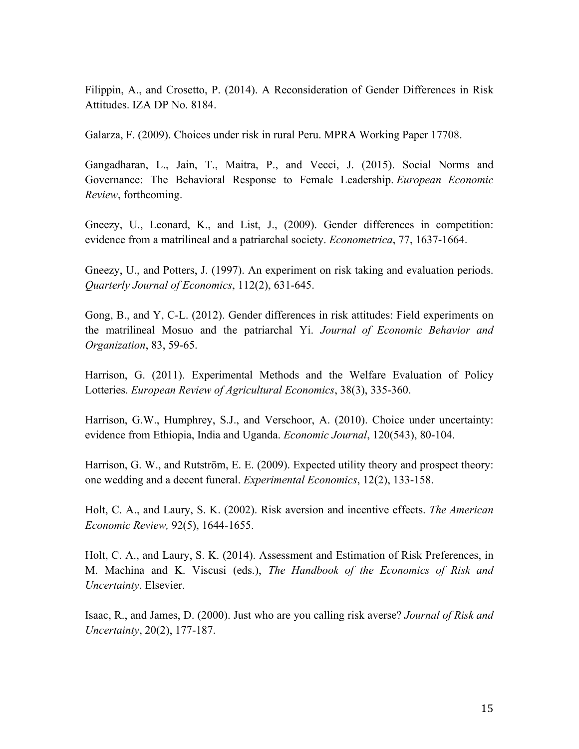Filippin, A., and Crosetto, P. (2014). A Reconsideration of Gender Differences in Risk Attitudes. IZA DP No. 8184.

Galarza, F. (2009). Choices under risk in rural Peru. MPRA Working Paper 17708.

Gangadharan, L., Jain, T., Maitra, P., and Vecci, J. (2015). Social Norms and Governance: The Behavioral Response to Female Leadership. *European Economic Review*, forthcoming.

Gneezy, U., Leonard, K., and List, J., (2009). Gender differences in competition: evidence from a matrilineal and a patriarchal society. *Econometrica*, 77, 1637-1664.

Gneezy, U., and Potters, J. (1997). An experiment on risk taking and evaluation periods. *Quarterly Journal of Economics*, 112(2), 631-645.

Gong, B., and Y, C-L. (2012). Gender differences in risk attitudes: Field experiments on the matrilineal Mosuo and the patriarchal Yi. *Journal of Economic Behavior and Organization*, 83, 59-65.

Harrison, G. (2011). Experimental Methods and the Welfare Evaluation of Policy Lotteries. *European Review of Agricultural Economics*, 38(3), 335-360.

Harrison, G.W., Humphrey, S.J., and Verschoor, A. (2010). Choice under uncertainty: evidence from Ethiopia, India and Uganda. *Economic Journal*, 120(543), 80-104.

Harrison, G. W., and Rutström, E. E. (2009). Expected utility theory and prospect theory: one wedding and a decent funeral. *Experimental Economics*, 12(2), 133-158.

Holt, C. A., and Laury, S. K. (2002). Risk aversion and incentive effects. *The American Economic Review,* 92(5), 1644-1655.

Holt, C. A., and Laury, S. K. (2014). Assessment and Estimation of Risk Preferences, in M. Machina and K. Viscusi (eds.), *The Handbook of the Economics of Risk and Uncertainty*. Elsevier.

Isaac, R., and James, D. (2000). Just who are you calling risk averse? *Journal of Risk and Uncertainty*, 20(2), 177-187.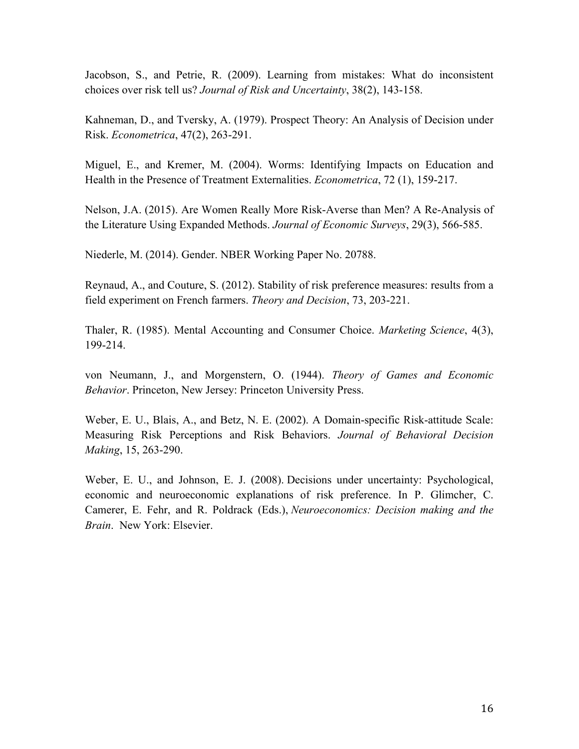Jacobson, S., and Petrie, R. (2009). Learning from mistakes: What do inconsistent choices over risk tell us? *Journal of Risk and Uncertainty*, 38(2), 143-158.

Kahneman, D., and Tversky, A. (1979). Prospect Theory: An Analysis of Decision under Risk. *Econometrica*, 47(2), 263-291.

Miguel, E., and Kremer, M. (2004). Worms: Identifying Impacts on Education and Health in the Presence of Treatment Externalities. *Econometrica*, 72 (1), 159-217.

Nelson, J.A. (2015). Are Women Really More Risk-Averse than Men? A Re-Analysis of the Literature Using Expanded Methods. *Journal of Economic Surveys*, 29(3), 566-585.

Niederle, M. (2014). Gender. NBER Working Paper No. 20788.

Reynaud, A., and Couture, S. (2012). Stability of risk preference measures: results from a field experiment on French farmers. *Theory and Decision*, 73, 203-221.

Thaler, R. (1985). Mental Accounting and Consumer Choice. *Marketing Science*, 4(3), 199-214.

von Neumann, J., and Morgenstern, O. (1944). *Theory of Games and Economic Behavior*. Princeton, New Jersey: Princeton University Press.

Weber, E. U., Blais, A., and Betz, N. E. (2002). A Domain-specific Risk-attitude Scale: Measuring Risk Perceptions and Risk Behaviors. *Journal of Behavioral Decision Making*, 15, 263-290.

Weber, E. U., and Johnson, E. J. (2008). Decisions under uncertainty: Psychological, economic and neuroeconomic explanations of risk preference. In P. Glimcher, C. Camerer, E. Fehr, and R. Poldrack (Eds.), *Neuroeconomics: Decision making and the Brain*. New York: Elsevier.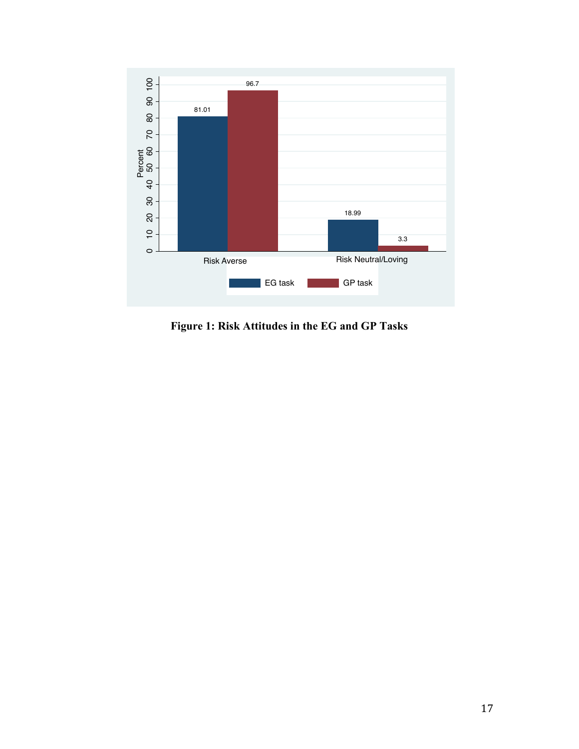

**Figure 1: Risk Attitudes in the EG and GP Tasks**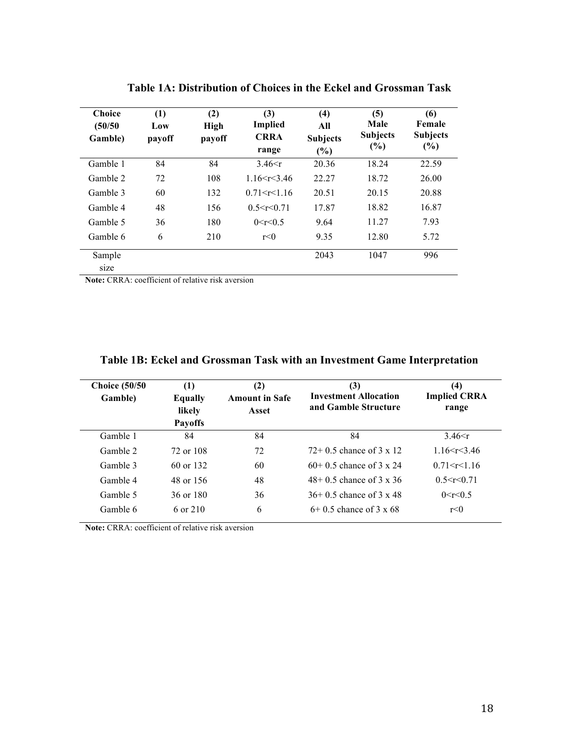| <b>Choice</b><br>(50/50<br>Gamble) | (1)<br>Low<br>payoff | (2)<br><b>High</b><br>payoff | (3)<br><b>Implied</b><br><b>CRRA</b><br>range | (4)<br>All<br><b>Subjects</b><br>$\frac{6}{6}$ | (5)<br>Male<br><b>Subjects</b><br>$(\%)$ | (6)<br>Female<br><b>Subjects</b><br>$(\%)$ |
|------------------------------------|----------------------|------------------------------|-----------------------------------------------|------------------------------------------------|------------------------------------------|--------------------------------------------|
| Gamble 1                           | 84                   | 84                           | $3.46 \le r$                                  | 20.36                                          | 18.24                                    | 22.59                                      |
| Gamble 2                           | 72                   | 108                          | 1 $16 < r < 346$                              | 22.27                                          | 18.72                                    | 26.00                                      |
| Gamble 3                           | 60                   | 132                          | 0.71 < r < 1.16                               | 20.51                                          | 20.15                                    | 20.88                                      |
| Gamble 4                           | 48                   | 156                          | 0.5 < r < 0.71                                | 17.87                                          | 18.82                                    | 16.87                                      |
| Gamble 5                           | 36                   | 180                          | 0 < r < 0.5                                   | 9.64                                           | 11.27                                    | 7.93                                       |
| Gamble 6                           | 6                    | 210                          | r<0                                           | 9.35                                           | 12.80                                    | 5.72                                       |
| Sample<br>size                     |                      |                              |                                               | 2043                                           | 1047                                     | 996                                        |

**Table 1A: Distribution of Choices in the Eckel and Grossman Task**

**Note:** CRRA: coefficient of relative risk aversion

| <b>Choice (50/50)</b><br>Gamble) | (1)<br><b>Equally</b><br>likely<br><b>Payoffs</b> | (2)<br><b>Amount in Safe</b><br>Asset | (3)<br><b>Investment Allocation</b><br>and Gamble Structure | (4)<br><b>Implied CRRA</b><br>range |
|----------------------------------|---------------------------------------------------|---------------------------------------|-------------------------------------------------------------|-------------------------------------|
| Gamble 1                         | 84                                                | 84                                    | 84                                                          | 3.46 $\leq r$                       |
| Gamble 2                         | 72 or 108                                         | 72                                    | $72+0.5$ chance of $3 \times 12$                            | 1.16 < r < 3.46                     |
| Gamble 3                         | 60 or 132                                         | 60                                    | $60+0.5$ chance of 3 x 24                                   | 0.71 < r < 1.16                     |
| Gamble 4                         | 48 or 156                                         | 48                                    | $48 + 0.5$ chance of $3 \times 36$                          | 0.5 < r < 0.71                      |
| Gamble 5                         | 36 or 180                                         | 36                                    | $36+0.5$ chance of $3 \times 48$                            | 0 < r < 0.5                         |
| Gamble 6                         | 6 or 210                                          | 6                                     | $6+0.5$ chance of $3 \times 68$                             | r<0                                 |

### **Table 1B: Eckel and Grossman Task with an Investment Game Interpretation**

**Note:** CRRA: coefficient of relative risk aversion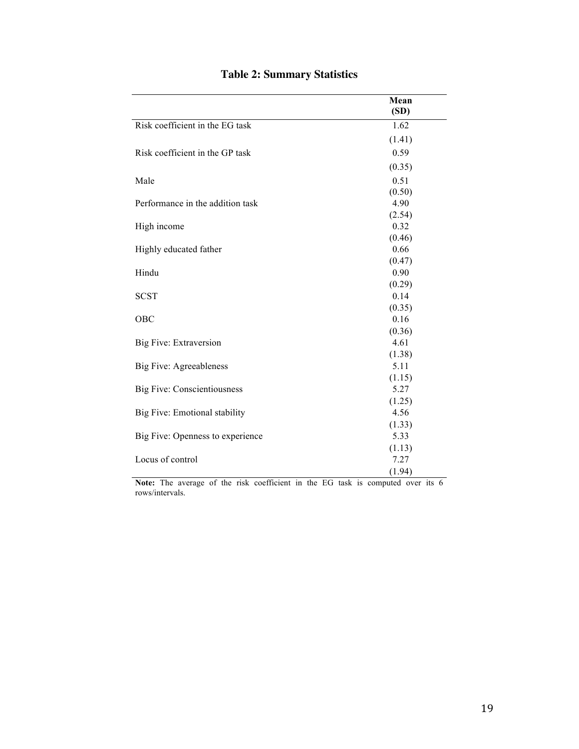|                                    | Mean<br>(SD) |
|------------------------------------|--------------|
| Risk coefficient in the EG task    | 1.62         |
|                                    | (1.41)       |
| Risk coefficient in the GP task    | 0.59         |
|                                    | (0.35)       |
| Male                               | 0.51         |
|                                    | (0.50)       |
| Performance in the addition task   | 4.90         |
|                                    | (2.54)       |
| High income                        | 0.32         |
|                                    | (0.46)       |
| Highly educated father             | 0.66         |
|                                    | (0.47)       |
| Hindu                              | 0.90         |
|                                    | (0.29)       |
| <b>SCST</b>                        | 0.14         |
|                                    | (0.35)       |
| <b>OBC</b>                         | 0.16         |
|                                    | (0.36)       |
| Big Five: Extraversion             | 4.61         |
|                                    | (1.38)       |
| <b>Big Five: Agreeableness</b>     | 5.11         |
|                                    | (1.15)       |
| <b>Big Five: Conscientiousness</b> | 5.27         |
|                                    | (1.25)       |
| Big Five: Emotional stability      | 4.56         |
|                                    | (1.33)       |
| Big Five: Openness to experience   | 5.33         |
|                                    | (1.13)       |
| Locus of control                   | 7.27         |
|                                    | (1.94)       |

### **Table 2: Summary Statistics**

**Note:** The average of the risk coefficient in the EG task is computed over its 6 rows/intervals.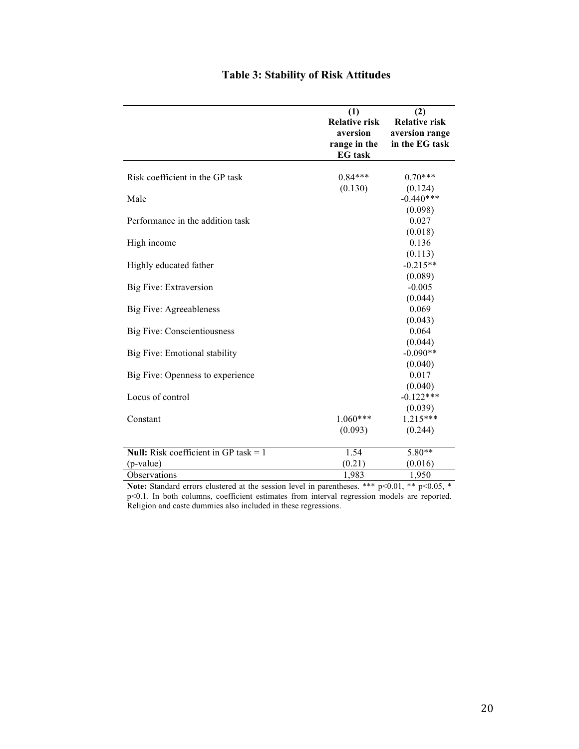|                                              | (1)<br><b>Relative risk</b><br>aversion<br>range in the<br><b>EG</b> task | (2)<br><b>Relative risk</b><br>aversion range<br>in the EG task |
|----------------------------------------------|---------------------------------------------------------------------------|-----------------------------------------------------------------|
| Risk coefficient in the GP task              | $0.84***$                                                                 | $0.70***$                                                       |
|                                              | (0.130)                                                                   | (0.124)                                                         |
| Male                                         |                                                                           | $-0.440***$                                                     |
|                                              |                                                                           | (0.098)                                                         |
| Performance in the addition task             |                                                                           | 0.027                                                           |
|                                              |                                                                           | (0.018)                                                         |
| High income                                  |                                                                           | 0.136                                                           |
|                                              |                                                                           | (0.113)                                                         |
| Highly educated father                       |                                                                           | $-0.215**$                                                      |
|                                              |                                                                           | (0.089)                                                         |
| Big Five: Extraversion                       |                                                                           | $-0.005$                                                        |
|                                              |                                                                           | (0.044)                                                         |
| Big Five: Agreeableness                      |                                                                           | 0.069                                                           |
|                                              |                                                                           | (0.043)                                                         |
| <b>Big Five: Conscientiousness</b>           |                                                                           | 0.064                                                           |
|                                              |                                                                           | (0.044)                                                         |
| Big Five: Emotional stability                |                                                                           | $-0.090**$                                                      |
|                                              |                                                                           | (0.040)                                                         |
| Big Five: Openness to experience             |                                                                           | 0.017                                                           |
|                                              |                                                                           | (0.040)                                                         |
| Locus of control                             |                                                                           | $-0.122***$                                                     |
| Constant                                     | $1.060***$                                                                | (0.039)<br>$1.215***$                                           |
|                                              | (0.093)                                                                   | (0.244)                                                         |
|                                              |                                                                           |                                                                 |
| <b>Null:</b> Risk coefficient in GP task = 1 | 1.54                                                                      | 5.80**                                                          |
| (p-value)                                    | (0.21)                                                                    | (0.016)                                                         |
| Observations                                 | 1,983                                                                     | 1,950                                                           |

### **Table 3: Stability of Risk Attitudes**

**Note:** Standard errors clustered at the session level in parentheses. \*\*\*  $p<0.01$ , \*\*  $p<0.05$ , \* p<0.1. In both columns, coefficient estimates from interval regression models are reported. Religion and caste dummies also included in these regressions.